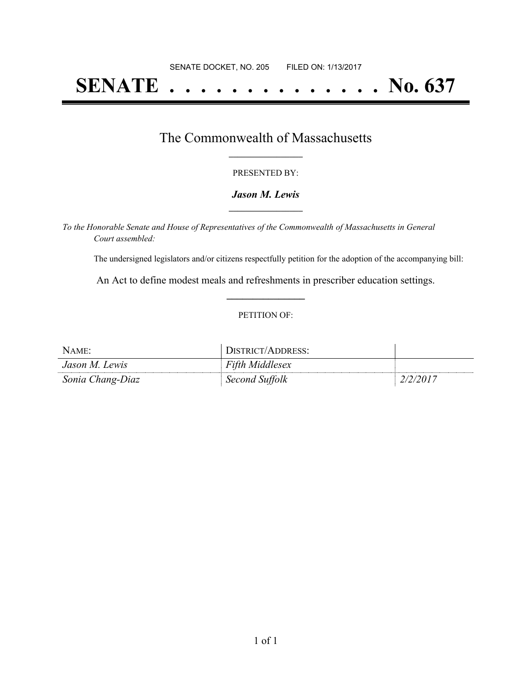# **SENATE . . . . . . . . . . . . . . No. 637**

### The Commonwealth of Massachusetts **\_\_\_\_\_\_\_\_\_\_\_\_\_\_\_\_\_**

#### PRESENTED BY:

#### *Jason M. Lewis* **\_\_\_\_\_\_\_\_\_\_\_\_\_\_\_\_\_**

*To the Honorable Senate and House of Representatives of the Commonwealth of Massachusetts in General Court assembled:*

The undersigned legislators and/or citizens respectfully petition for the adoption of the accompanying bill:

An Act to define modest meals and refreshments in prescriber education settings. **\_\_\_\_\_\_\_\_\_\_\_\_\_\_\_**

#### PETITION OF:

| NAME:            | DISTRICT/ADDRESS:      |          |
|------------------|------------------------|----------|
| Jason M. Lewis   | <b>Fifth Middlesex</b> |          |
| Sonia Chang-Diaz | Second Suffolk         | 2/2/2017 |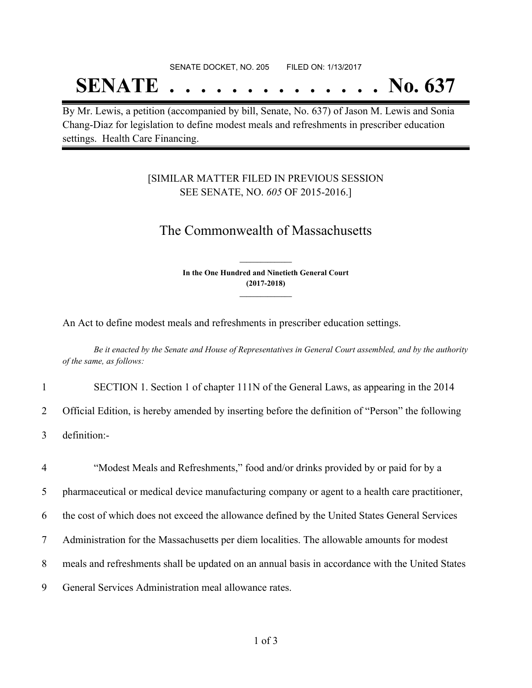#### SENATE DOCKET, NO. 205 FILED ON: 1/13/2017

## **SENATE . . . . . . . . . . . . . . No. 637**

By Mr. Lewis, a petition (accompanied by bill, Senate, No. 637) of Jason M. Lewis and Sonia Chang-Diaz for legislation to define modest meals and refreshments in prescriber education settings. Health Care Financing.

#### [SIMILAR MATTER FILED IN PREVIOUS SESSION SEE SENATE, NO. *605* OF 2015-2016.]

## The Commonwealth of Massachusetts

**In the One Hundred and Ninetieth General Court (2017-2018) \_\_\_\_\_\_\_\_\_\_\_\_\_\_\_**

**\_\_\_\_\_\_\_\_\_\_\_\_\_\_\_**

An Act to define modest meals and refreshments in prescriber education settings.

Be it enacted by the Senate and House of Representatives in General Court assembled, and by the authority *of the same, as follows:*

1 SECTION 1. Section 1 of chapter 111N of the General Laws, as appearing in the 2014

2 Official Edition, is hereby amended by inserting before the definition of "Person" the following

3 definition:-

 "Modest Meals and Refreshments," food and/or drinks provided by or paid for by a pharmaceutical or medical device manufacturing company or agent to a health care practitioner, the cost of which does not exceed the allowance defined by the United States General Services Administration for the Massachusetts per diem localities. The allowable amounts for modest meals and refreshments shall be updated on an annual basis in accordance with the United States General Services Administration meal allowance rates.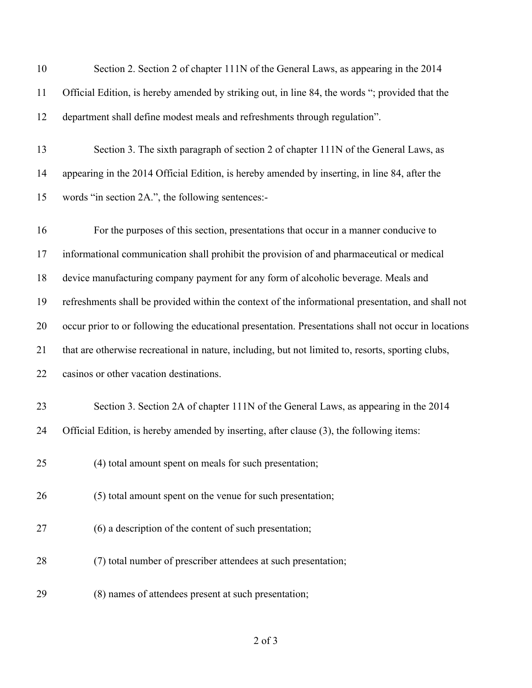| 10 | Section 2. Section 2 of chapter 111N of the General Laws, as appearing in the 2014                   |
|----|------------------------------------------------------------------------------------------------------|
| 11 | Official Edition, is hereby amended by striking out, in line 84, the words "; provided that the      |
| 12 | department shall define modest meals and refreshments through regulation".                           |
| 13 | Section 3. The sixth paragraph of section 2 of chapter 111N of the General Laws, as                  |
| 14 | appearing in the 2014 Official Edition, is hereby amended by inserting, in line 84, after the        |
| 15 | words "in section 2A.", the following sentences:-                                                    |
| 16 | For the purposes of this section, presentations that occur in a manner conducive to                  |
| 17 | informational communication shall prohibit the provision of and pharmaceutical or medical            |
| 18 | device manufacturing company payment for any form of alcoholic beverage. Meals and                   |
| 19 | refreshments shall be provided within the context of the informational presentation, and shall not   |
| 20 | occur prior to or following the educational presentation. Presentations shall not occur in locations |
| 21 | that are otherwise recreational in nature, including, but not limited to, resorts, sporting clubs,   |
| 22 | casinos or other vacation destinations.                                                              |
| 23 | Section 3. Section 2A of chapter 111N of the General Laws, as appearing in the 2014                  |
| 24 | Official Edition, is hereby amended by inserting, after clause (3), the following items:             |
| 25 | (4) total amount spent on meals for such presentation;                                               |
| 26 | (5) total amount spent on the venue for such presentation;                                           |
| 27 | (6) a description of the content of such presentation;                                               |
| 28 | (7) total number of prescriber attendees at such presentation;                                       |
| 29 | (8) names of attendees present at such presentation;                                                 |

## of 3